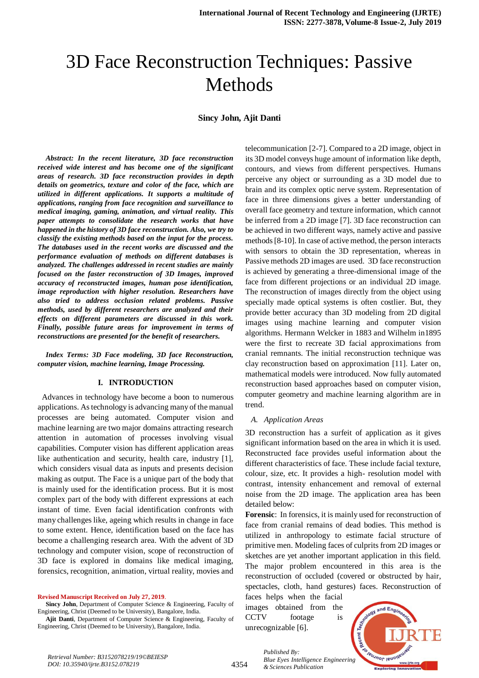**Sincy John, Ajit Danti**

*Abstract: In the recent literature, 3D face reconstruction received wide interest and has become one of the significant areas of research. 3D face reconstruction provides in depth details on geometrics, texture and color of the face, which are utilized in different applications. It supports a multitude of applications, ranging from face recognition and surveillance to medical imaging, gaming, animation, and virtual reality. This paper attempts to consolidate the research works that have happened in the history of 3D face reconstruction. Also, we try to classify the existing methods based on the input for the process. The databases used in the recent works are discussed and the performance evaluation of methods on different databases is analyzed. The challenges addressed in recent studies are mainly focused on the faster reconstruction of 3D Images, improved accuracy of reconstructed images, human pose identification, image reproduction with higher resolution. Researchers have also tried to address occlusion related problems. Passive methods, used by different researchers are analyzed and their effects on different parameters are discussed in this work. Finally, possible future areas for improvement in terms of reconstructions are presented for the benefit of researchers.*

*Index Terms: 3D Face modeling, 3D face Reconstruction, computer vision, machine learning, Image Processing.*

#### **I. INTRODUCTION**

 Advances in technology have become a boon to numerous applications. As technology is advancing many of the manual processes are being automated. Computer vision and machine learning are two major domains attracting research attention in automation of processes involving visual capabilities. Computer vision has different application areas like authentication and security, health care, industry [1], which considers visual data as inputs and presents decision making as output. The Face is a unique part of the body that is mainly used for the identification process. But it is most complex part of the body with different expressions at each instant of time. Even facial identification confronts with many challenges like, ageing which results in change in face to some extent. Hence, identification based on the face has become a challenging research area. With the advent of 3D technology and computer vision, scope of reconstruction of 3D face is explored in domains like medical imaging, forensics, recognition, animation, virtual reality, movies and

**Revised Manuscript Received on July 27, 2019**.

Sincy John, Department of Computer Science & Engineering, Faculty of Engineering, Christ (Deemed to be University), Bangalore, India.

**Ajit Danti**, Department of Computer Science & Engineering, Faculty of Engineering, Christ (Deemed to be University), Bangalore, India.

telecommunication [2-7]. Compared to a 2D image, object in its 3D model conveys huge amount of information like depth, contours, and views from different perspectives. Humans perceive any object or surrounding as a 3D model due to brain and its complex optic nerve system. Representation of face in three dimensions gives a better understanding of overall face geometry and texture information, which cannot be inferred from a 2D image [7]. 3D face reconstruction can be achieved in two different ways, namely active and passive methods [8-10]. In case of active method, the person interacts with sensors to obtain the 3D representation, whereas in Passive methods 2D images are used. 3D face reconstruction is achieved by generating a three-dimensional image of the face from different projections or an individual 2D image. The reconstruction of images directly from the object using specially made optical systems is often costlier. But, they provide better accuracy than 3D modeling from 2D digital images using machine learning and computer vision algorithms. Hermann Welcker in 1883 and Wilhelm in1895 were the first to recreate 3D facial approximations from cranial remnants. The initial reconstruction technique was clay reconstruction based on approximation [11]. Later on, mathematical models were introduced. Now fully automated reconstruction based approaches based on computer vision, computer geometry and machine learning algorithm are in trend.

#### *A. Application Areas*

3D reconstruction has a surfeit of application as it gives significant information based on the area in which it is used. Reconstructed face provides useful information about the different characteristics of face. These include facial texture, colour, size, etc. It provides a high- resolution model with contrast, intensity enhancement and removal of external noise from the 2D image. The application area has been detailed below:

**Forensic**: In forensics, it is mainly used for reconstruction of face from cranial remains of dead bodies. This method is utilized in anthropology to estimate facial structure of primitive men. Modeling faces of culprits from 2D images or sketches are yet another important application in this field. The major problem encountered in this area is the reconstruction of occluded (covered or obstructed by hair, spectacles, cloth, hand gestures) faces. Reconstruction of

faces helps when the facial images obtained from the CCTV footage is unrecognizable [6].



*Retrieval Number: B3152078219/19©BEIESP DOI: 10.35940/ijrte.B3152.078219*

*Published By: Blue Eyes Intelligence Engineering & Sciences Publication*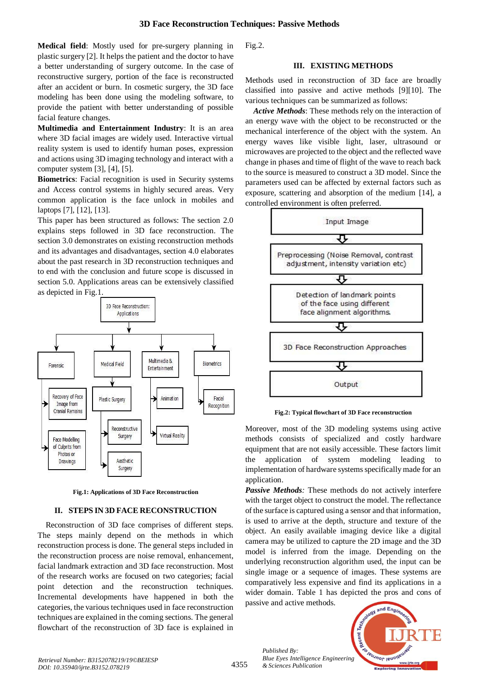**Medical field**: Mostly used for pre-surgery planning in plastic surgery [2]. It helps the patient and the doctor to have a better understanding of surgery outcome. In the case of reconstructive surgery, portion of the face is reconstructed after an accident or burn. In cosmetic surgery, the 3D face modeling has been done using the modeling software, to provide the patient with better understanding of possible facial feature changes.

**Multimedia and Entertainment Industry**: It is an area where 3D facial images are widely used. Interactive virtual reality system is used to identify human poses, expression and actions using 3D imaging technology and interact with a computer system [3], [4], [5].

**Biometrics**: Facial recognition is used in Security systems and Access control systems in highly secured areas. Very common application is the face unlock in mobiles and laptops [7], [12], [13].

This paper has been structured as follows: The section 2.0 explains steps followed in 3D face reconstruction. The section 3.0 demonstrates on existing reconstruction methods and its advantages and disadvantages, section 4.0 elaborates about the past research in 3D reconstruction techniques and to end with the conclusion and future scope is discussed in section 5.0. Applications areas can be extensively classified as depicted in Fig.1.



**Fig.1: Applications of 3D Face Reconstruction**

# **II. STEPS IN 3D FACE RECONSTRUCTION**

Reconstruction of 3D face comprises of different steps. The steps mainly depend on the methods in which reconstruction process is done. The general steps included in the reconstruction process are noise removal, enhancement, facial landmark extraction and 3D face reconstruction. Most of the research works are focused on two categories; facial point detection and the reconstruction techniques. Incremental developments have happened in both the categories, the various techniques used in face reconstruction techniques are explained in the coming sections. The general flowchart of the reconstruction of 3D face is explained in

Fig.2.

## **III. EXISTING METHODS**

Methods used in reconstruction of 3D face are broadly classified into passive and active methods [9][10]. The various techniques can be summarized as follows:

*Active Methods*: These methods rely on the interaction of an energy wave with the object to be reconstructed or the mechanical interference of the object with the system. An energy waves like visible light, laser, ultrasound or microwaves are projected to the object and the reflected wave change in phases and time of flight of the wave to reach back to the source is measured to construct a 3D model. Since the parameters used can be affected by external factors such as exposure, scattering and absorption of the medium [14], a controlled environment is often preferred.



**Fig.2: Typical flowchart of 3D Face reconstruction**

Moreover, most of the 3D modeling systems using active methods consists of specialized and costly hardware equipment that are not easily accessible. These factors limit the application of system modeling leading to implementation of hardware systems specifically made for an application.

*Passive Methods:* These methods do not actively interfere with the target object to construct the model. The reflectance of the surface is captured using a sensor and that information, is used to arrive at the depth, structure and texture of the object. An easily available imaging device like a digital camera may be utilized to capture the 2D image and the 3D model is inferred from the image. Depending on the underlying reconstruction algorithm used, the input can be single image or a sequence of images. These systems are comparatively less expensive and find its applications in a wider domain. Table 1 has depicted the pros and cons of passive and active methods.

and Engin Techn Recent 7 Foreumor leuon *Blue Eyes Intelligence Engineering* 

*Published By:*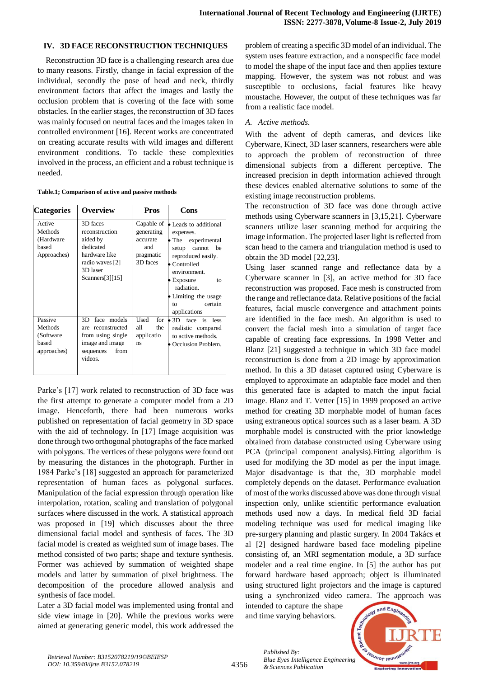## **IV. 3D FACE RECONSTRUCTION TECHNIQUES**

Reconstruction 3D face is a challenging research area due to many reasons. Firstly, change in facial expression of the individual, secondly the pose of head and neck, thirdly environment factors that affect the images and lastly the occlusion problem that is covering of the face with some obstacles. In the earlier stages, the reconstruction of 3D faces was mainly focused on neutral faces and the images taken in controlled environment [16]. Recent works are concentrated on creating accurate results with wild images and different environment conditions. To tackle these complexities involved in the process, an efficient and a robust technique is needed.

**Table.1; Comparison of active and passive methods**

| <b>Categories</b>                                        | <b>Overview</b>                                                                                                         | Pros                                                                 | Cons                                                                                                                                                                                                                             |
|----------------------------------------------------------|-------------------------------------------------------------------------------------------------------------------------|----------------------------------------------------------------------|----------------------------------------------------------------------------------------------------------------------------------------------------------------------------------------------------------------------------------|
| Active<br>Methods<br>(Hardware<br>based<br>Approaches)   | 3D faces<br>reconstruction<br>aided by<br>dedicated<br>hardware like<br>radio waves [2]<br>3D laser<br>Scanners [3][15] | Capable of<br>generating<br>accurate<br>and<br>pragmatic<br>3D faces | • Leads to additional<br>expenses.<br>• The experimental<br>setup<br>cannot<br>be<br>reproduced easily.<br>• Controlled<br>environment.<br>Exposure<br>to<br>radiation.<br>• Limiting the usage<br>certain<br>to<br>applications |
| Passive<br>Methods<br>(Software)<br>based<br>approaches) | face models<br>3D<br>are reconstructed<br>from using single<br>image and image<br>from<br>sequences<br>videos.          | for<br>Used<br>the<br>all<br>applicatio<br>ns                        | face is less<br>$\bullet$ 3D $\bullet$<br>realistic compared<br>to active methods.<br>Occlusion Problem.                                                                                                                         |

Parke's [17] work related to reconstruction of 3D face was the first attempt to generate a computer model from a 2D image. Henceforth, there had been numerous works published on representation of facial geometry in 3D space with the aid of technology. In [17] Image acquisition was done through two orthogonal photographs of the face marked with polygons. The vertices of these polygons were found out by measuring the distances in the photograph. Further in 1984 Parke's [18] suggested an approach for parameterized representation of human faces as polygonal surfaces. Manipulation of the facial expression through operation like interpolation, rotation, scaling and translation of polygonal surfaces where discussed in the work. A statistical approach was proposed in [19] which discusses about the three dimensional facial model and synthesis of faces. The 3D facial model is created as weighted sum of image bases. The method consisted of two parts; shape and texture synthesis. Former was achieved by summation of weighted shape models and latter by summation of pixel brightness. The decomposition of the procedure allowed analysis and synthesis of face model.

Later a 3D facial model was implemented using frontal and side view image in [20]. While the previous works were aimed at generating generic model, this work addressed the problem of creating a specific 3D model of an individual. The system uses feature extraction, and a nonspecific face model to model the shape of the input face and then applies texture mapping. However, the system was not robust and was susceptible to occlusions, facial features like heavy moustache. However, the output of these techniques was far from a realistic face model.

## *A. Active methods.*

With the advent of depth cameras, and devices like Cyberware, Kinect, 3D laser scanners, researchers were able to approach the problem of reconstruction of three dimensional subjects from a different perceptive. The increased precision in depth information achieved through these devices enabled alternative solutions to some of the existing image reconstruction problems.

The reconstruction of 3D face was done through active methods using Cyberware scanners in [3,15,21]. Cyberware scanners utilize laser scanning method for acquiring the image information. The projected laser light is reflected from scan head to the camera and triangulation method is used to obtain the 3D model [22,23].

Using laser scanned range and reflectance data by a Cyberware scanner in [3], an active method for 3D face reconstruction was proposed. Face mesh is constructed from the range and reflectance data. Relative positions of the facial features, facial muscle convergence and attachment points are identified in the face mesh. An algorithm is used to convert the facial mesh into a simulation of target face capable of creating face expressions. In 1998 Vetter and Blanz [21] suggested a technique in which 3D face model reconstruction is done from a 2D image by approximation method. In this a 3D dataset captured using Cyberware is employed to approximate an adaptable face model and then this generated face is adapted to match the input facial image. Blanz and T. Vetter [15] in 1999 proposed an active method for creating 3D morphable model of human faces using extraneous optical sources such as a laser beam. A 3D morphable model is constructed with the prior knowledge obtained from database constructed using Cyberware using PCA (principal component analysis).Fitting algorithm is used for modifying the 3D model as per the input image. Major disadvantage is that the, 3D morphable model completely depends on the dataset. Performance evaluation of most of the works discussed above was done through visual inspection only, unlike scientific performance evaluation methods used now a days. In medical field 3D facial modeling technique was used for medical imaging like pre-surgery planning and plastic surgery. In 2004 Takács et al [2] designed hardware based face modeling pipeline consisting of, an MRI segmentation module, a 3D surface modeler and a real time engine. In [5] the author has put forward hardware based approach; object is illuminated using structured light projectors and the image is captured using a synchronized video camera. The approach was

intended to capture the shape and time varying behaviors.



4356

*Published By: Blue Eyes Intelligence Engineering & Sciences Publication*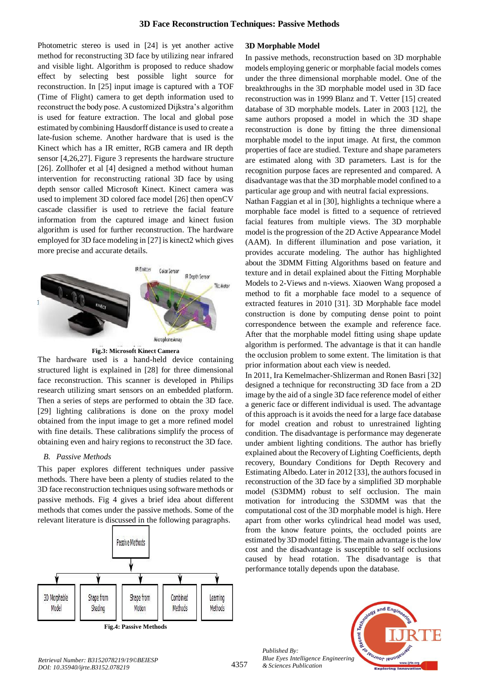Photometric stereo is used in [24] is yet another active method for reconstructing 3D face by utilizing near infrared and visible light. Algorithm is proposed to reduce shadow effect by selecting best possible light source for reconstruction. In [25] input image is captured with a TOF (Time of Flight) camera to get depth information used to reconstruct the body pose. A customized Dijkstra's algorithm is used for feature extraction. The local and global pose estimated by combining Hausdorff distance is used to create a late-fusion scheme. Another hardware that is used is the Kinect which has a IR emitter, RGB camera and IR depth sensor [4,26,27]. Figure 3 represents the hardware structure [26]. Zollhofer et al [4] designed a method without human intervention for reconstructing rational 3D face by using depth sensor called Microsoft Kinect. Kinect camera was used to implement 3D colored face model [26] then openCV cascade classifier is used to retrieve the facial feature information from the captured image and kinect fusion algorithm is used for further reconstruction. The hardware employed for 3D face modeling in [27] is kinect2 which gives more precise and accurate details.



**Fig.3: Microsoft Kinect Camera**

The hardware used is a hand-held device containing structured light is explained in [28] for three dimensional face reconstruction. This scanner is developed in Philips research utilizing smart sensors on an embedded platform. Then a series of steps are performed to obtain the 3D face. [29] lighting calibrations is done on the proxy model obtained from the input image to get a more refined model with fine details. These calibrations simplify the process of obtaining even and hairy regions to reconstruct the 3D face.

## *B. Passive Methods*

This paper explores different techniques under passive methods. There have been a plenty of studies related to the 3D face reconstruction techniques using software methods or passive methods. Fig 4 gives a brief idea about different methods that comes under the passive methods. Some of the relevant literature is discussed in the following paragraphs.



**Fig.4: Passive Methods**

#### **3D Morphable Model**

In passive methods, reconstruction based on 3D morphable models employing generic or morphable facial models comes under the three dimensional morphable model. One of the breakthroughs in the 3D morphable model used in 3D face reconstruction was in 1999 Blanz and T. Vetter [15] created database of 3D morphable models. Later in 2003 [12], the same authors proposed a model in which the 3D shape reconstruction is done by fitting the three dimensional morphable model to the input image. At first, the common properties of face are studied. Texture and shape parameters are estimated along with 3D parameters. Last is for the recognition purpose faces are represented and compared. A disadvantage was that the 3D morphable model confined to a particular age group and with neutral facial expressions.

Nathan Faggian et al in [30], highlights a technique where a morphable face model is fitted to a sequence of retrieved facial features from multiple views. The 3D morphable model is the progression of the 2D Active Appearance Model (AAM). In different illumination and pose variation, it provides accurate modeling. The author has highlighted about the 3DMM Fitting Algorithms based on feature and texture and in detail explained about the Fitting Morphable Models to 2-Views and n-views. Xiaowen Wang proposed a method to fit a morphable face model to a sequence of extracted features in 2010 [31]. 3D Morphable face model construction is done by computing dense point to point correspondence between the example and reference face. After that the morphable model fitting using shape update algorithm is performed. The advantage is that it can handle the occlusion problem to some extent. The limitation is that prior information about each view is needed.

In 2011, Ira Kemelmacher-Shlizerman and Ronen Basri [32] designed a technique for reconstructing 3D face from a 2D image by the aid of a single 3D face reference model of either a generic face or different individual is used. The advantage of this approach is it avoids the need for a large face database for model creation and robust to unrestrained lighting condition. The disadvantage is performance may degenerate under ambient lighting conditions. The author has briefly explained about the Recovery of Lighting Coefficients, depth recovery, Boundary Conditions for Depth Recovery and Estimating Albedo. Later in 2012 [33], the authors focused in reconstruction of the 3D face by a simplified 3D morphable model (S3DMM) robust to self occlusion. The main motivation for introducing the S3DMM was that the computational cost of the 3D morphable model is high. Here apart from other works cylindrical head model was used, from the know feature points, the occluded points are estimated by 3D model fitting. The main advantage is the low cost and the disadvantage is susceptible to self occlusions caused by head rotation. The disadvantage is that performance totally depends upon the database.



*Published By:*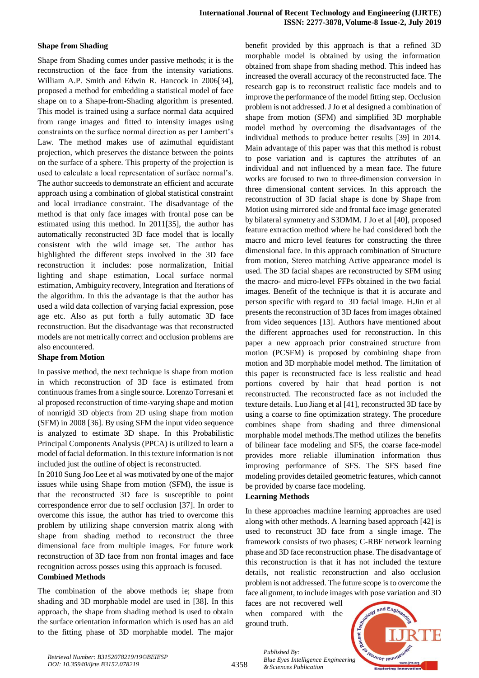## **Shape from Shading**

Shape from Shading comes under passive methods; it is the reconstruction of the face from the intensity variations. William A.P. Smith and Edwin R. Hancock in 2006[34], proposed a method for embedding a statistical model of face shape on to a Shape-from-Shading algorithm is presented. This model is trained using a surface normal data acquired from range images and fitted to intensity images using constraints on the surface normal direction as per Lambert's Law. The method makes use of azimuthal equidistant projection, which preserves the distance between the points on the surface of a sphere. This property of the projection is used to calculate a local representation of surface normal's. The author succeeds to demonstrate an efficient and accurate approach using a combination of global statistical constraint and local irradiance constraint. The disadvantage of the method is that only face images with frontal pose can be estimated using this method. In 2011[35], the author has automatically reconstructed 3D face model that is locally consistent with the wild image set. The author has highlighted the different steps involved in the 3D face reconstruction it includes: pose normalization, Initial lighting and shape estimation, Local surface normal estimation, Ambiguity recovery, Integration and Iterations of the algorithm. In this the advantage is that the author has used a wild data collection of varying facial expression, pose age etc. Also as put forth a fully automatic 3D face reconstruction. But the disadvantage was that reconstructed models are not metrically correct and occlusion problems are also encountered.

## **Shape from Motion**

In passive method, the next technique is shape from motion in which reconstruction of 3D face is estimated from continuous frames from a single source. Lorenzo Torresani et al proposed reconstruction of time-varying shape and motion of nonrigid 3D objects from 2D using shape from motion (SFM) in 2008 [36]. By using SFM the input video sequence is analyzed to estimate 3D shape. In this Probabilistic Principal Components Analysis (PPCA) is utilized to learn a model of facial deformation. In this texture information is not included just the outline of object is reconstructed.

In 2010 Sung Joo Lee et al was motivated by one of the major issues while using Shape from motion (SFM), the issue is that the reconstructed 3D face is susceptible to point correspondence error due to self occlusion [37]. In order to overcome this issue, the author has tried to overcome this problem by utilizing shape conversion matrix along with shape from shading method to reconstruct the three dimensional face from multiple images. For future work reconstruction of 3D face from non frontal images and face recognition across posses using this approach is focused.

# **Combined Methods**

The combination of the above methods ie; shape from shading and 3D morphable model are used in [38]. In this approach, the shape from shading method is used to obtain the surface orientation information which is used has an aid to the fitting phase of 3D morphable model. The major benefit provided by this approach is that a refined 3D morphable model is obtained by using the information obtained from shape from shading method. This indeed has increased the overall accuracy of the reconstructed face. The research gap is to reconstruct realistic face models and to improve the performance of the model fitting step. Occlusion problem is not addressed. J Jo et al designed a combination of shape from motion (SFM) and simplified 3D morphable model method by overcoming the disadvantages of the individual methods to produce better results [39] in 2014. Main advantage of this paper was that this method is robust to pose variation and is captures the attributes of an individual and not influenced by a mean face. The future works are focused to two to three-dimension conversion in three dimensional content services. In this approach the reconstruction of 3D facial shape is done by Shape from Motion using mirrored side and frontal face image generated by bilateral symmetry and S3DMM. J Jo et al [40], proposed feature extraction method where he had considered both the macro and micro level features for constructing the three dimensional face. In this approach combination of Structure from motion, Stereo matching Active appearance model is used. The 3D facial shapes are reconstructed by SFM using the macro- and micro-level FFPs obtained in the two facial images. Benefit of the technique is that it is accurate and person specific with regard to 3D facial image. H.Jin et al presents the reconstruction of 3D faces from images obtained from video sequences [13]. Authors have mentioned about the different approaches used for reconstruction. In this paper a new approach prior constrained structure from motion (PCSFM) is proposed by combining shape from motion and 3D morphable model method. The limitation of this paper is reconstructed face is less realistic and head portions covered by hair that head portion is not reconstructed. The reconstructed face as not included the texture details. Luo Jiang et al [41], reconstructed 3D face by using a coarse to fine optimization strategy. The procedure combines shape from shading and three dimensional morphable model methods.The method utilizes the benefits of bilinear face modeling and SFS, the coarse face-model provides more reliable illumination information thus improving performance of SFS. The SFS based fine modeling provides detailed geometric features, which cannot be provided by coarse face modeling.

## **Learning Methods**

In these approaches machine learning approaches are used along with other methods. A learning based approach [42] is used to reconstruct 3D face from a single image. The framework consists of two phases; C-RBF network learning phase and 3D face reconstruction phase. The disadvantage of this reconstruction is that it has not included the texture details, not realistic reconstruction and also occlusion problem is not addressed. The future scope is to overcome the face alignment, to include images with pose variation and 3D

faces are not recovered well when compared with the ground truth.



4358

*Published By: Blue Eyes Intelligence Engineering & Sciences Publication*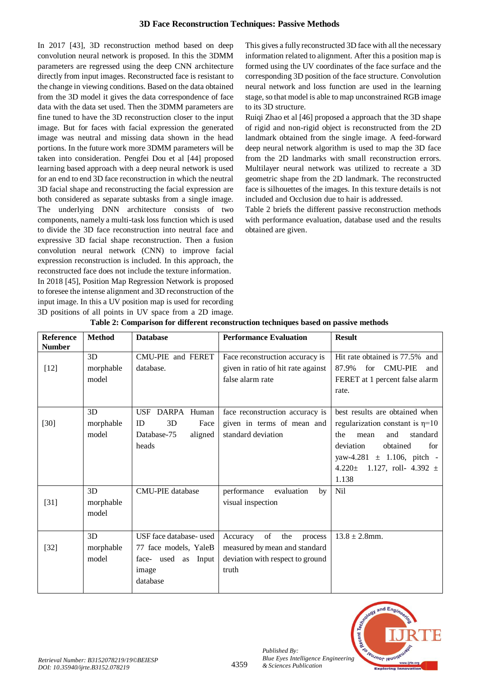In 2017 [43], 3D reconstruction method based on deep convolution neural network is proposed. In this the 3DMM parameters are regressed using the deep CNN architecture directly from input images. Reconstructed face is resistant to the change in viewing conditions. Based on the data obtained from the 3D model it gives the data correspondence of face data with the data set used. Then the 3DMM parameters are fine tuned to have the 3D reconstruction closer to the input image. But for faces with facial expression the generated image was neutral and missing data shown in the head portions. In the future work more 3DMM parameters will be taken into consideration. Pengfei Dou et al [44] proposed learning based approach with a deep neural network is used for an end to end 3D face reconstruction in which the neutral 3D facial shape and reconstructing the facial expression are both considered as separate subtasks from a single image. The underlying DNN architecture consists of two components, namely a multi-task loss function which is used to divide the 3D face reconstruction into neutral face and expressive 3D facial shape reconstruction. Then a fusion convolution neural network (CNN) to improve facial expression reconstruction is included. In this approach, the reconstructed face does not include the texture information. In 2018 [45], Position Map Regression Network is proposed to foresee the intense alignment and 3D reconstruction of the input image. In this a UV position map is used for recording 3D positions of all points in UV space from a 2D image.

This gives a fully reconstructed 3D face with all the necessary information related to alignment. After this a position map is formed using the UV coordinates of the face surface and the corresponding 3D position of the face structure. Convolution neural network and loss function are used in the learning stage, so that model is able to map unconstrained RGB image to its 3D structure.

Ruiqi Zhao et al [46] proposed a approach that the 3D shape of rigid and non-rigid object is reconstructed from the 2D landmark obtained from the single image. A feed-forward deep neural network algorithm is used to map the 3D face from the 2D landmarks with small reconstruction errors. Multilayer neural network was utilized to recreate a 3D geometric shape from the 2D landmark. The reconstructed face is silhouettes of the images. In this texture details is not included and Occlusion due to hair is addressed.

Table 2 briefs the different passive reconstruction methods with performance evaluation, database used and the results obtained are given.

| <b>Reference</b><br><b>Number</b> | <b>Method</b>            | <b>Database</b>                                                                              | <b>Performance Evaluation</b>                                                                                  | <b>Result</b>                                                                                                                                                                                                                |
|-----------------------------------|--------------------------|----------------------------------------------------------------------------------------------|----------------------------------------------------------------------------------------------------------------|------------------------------------------------------------------------------------------------------------------------------------------------------------------------------------------------------------------------------|
| $[12]$                            | 3D<br>morphable<br>model | CMU-PIE and FERET<br>database.                                                               | Face reconstruction accuracy is<br>given in ratio of hit rate against<br>false alarm rate                      | Hit rate obtained is 77.5% and<br><b>CMU-PIE</b><br>87.9%<br>for<br>and<br>FERET at 1 percent false alarm<br>rate.                                                                                                           |
| $[30]$                            | 3D<br>morphable<br>model | <b>USF</b><br>DARPA Human<br>3D<br>ID<br>Face<br>Database-75<br>aligned<br>heads             | face reconstruction accuracy is<br>given in terms of mean and<br>standard deviation                            | best results are obtained when<br>regularization constant is $\eta$ =10<br>standard<br>the<br>and<br>mean<br>deviation<br>obtained<br>for<br>yaw-4.281 $\pm$ 1.106, pitch -<br>4.220 $\pm$ 1.127, roll- 4.392 $\pm$<br>1.138 |
| $[31]$                            | 3D<br>morphable<br>model | <b>CMU-PIE</b> database                                                                      | performance<br>evaluation<br>by<br>visual inspection                                                           | Nil                                                                                                                                                                                                                          |
| $[32]$                            | 3D<br>morphable<br>model | USF face database- used<br>77 face models, YaleB<br>face- used as Input<br>image<br>database | of<br>the<br>Accuracy<br>process<br>measured by mean and standard<br>deviation with respect to ground<br>truth | $13.8 \pm 2.8$ mm.                                                                                                                                                                                                           |

## **Table 2: Comparison for different reconstruction techniques based on passive methods**



*Published By:*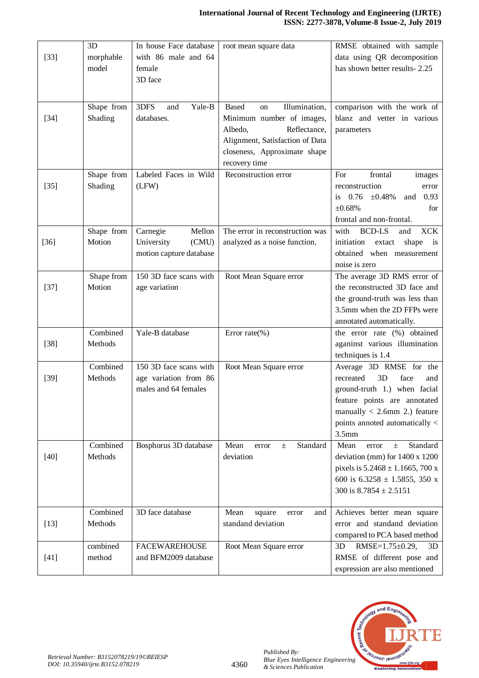|        | 3D         | In house Face database  | root mean square data                                           | RMSE obtained with sample                                       |
|--------|------------|-------------------------|-----------------------------------------------------------------|-----------------------------------------------------------------|
| $[33]$ | morphable  | with 86 male and 64     |                                                                 | data using QR decomposition<br>has shown better results-2.25    |
|        | model      | female<br>3D face       |                                                                 |                                                                 |
|        |            |                         |                                                                 |                                                                 |
|        |            |                         |                                                                 |                                                                 |
|        | Shape from | Yale-B<br>3DFS<br>and   | Illumination,<br><b>Based</b><br><sub>on</sub>                  | comparison with the work of                                     |
| $[34]$ | Shading    | databases.              | Minimum number of images,                                       | blanz and vetter in various                                     |
|        |            |                         | Albedo,<br>Reflectance,                                         | parameters                                                      |
|        |            |                         | Alignment, Satisfaction of Data<br>closeness, Approximate shape |                                                                 |
|        |            |                         | recovery time                                                   |                                                                 |
|        | Shape from | Labeled Faces in Wild   | Reconstruction error                                            | frontal<br>For<br>images                                        |
| $[35]$ | Shading    | (LFW)                   |                                                                 | reconstruction<br>error                                         |
|        |            |                         |                                                                 | $0.76 \pm 0.48\%$<br>and 0.93<br>is.                            |
|        |            |                         |                                                                 | ±0.68%<br>for                                                   |
|        |            |                         |                                                                 | frontal and non-frontal.                                        |
|        | Shape from | Mellon<br>Carnegie      | The error in reconstruction was                                 | <b>BCD-LS</b><br><b>XCK</b><br>with<br>and                      |
| $[36]$ | Motion     | University<br>(CMU)     | analyzed as a noise function.                                   | initiation<br>extact<br>shape<br>$\frac{1}{1}$                  |
|        |            | motion capture database |                                                                 | obtained when measurement                                       |
|        |            |                         |                                                                 | noise is zero                                                   |
|        | Shape from | 150 3D face scans with  | Root Mean Square error                                          | The average 3D RMS error of                                     |
| $[37]$ | Motion     | age variation           |                                                                 | the reconstructed 3D face and<br>the ground-truth was less than |
|        |            |                         |                                                                 | 3.5mm when the 2D FFPs were                                     |
|        |            |                         |                                                                 | annotated automatically.                                        |
|        | Combined   | Yale-B database         | Error rate $(\% )$                                              | the error rate (%) obtained                                     |
| $[38]$ | Methods    |                         |                                                                 | aganinst various illumination                                   |
|        |            |                         |                                                                 | techniques is 1.4                                               |
|        | Combined   | 150 3D face scans with  | Root Mean Square error                                          | Average 3D RMSE for the                                         |
| $[39]$ | Methods    | age variation from 86   |                                                                 | 3D<br>face<br>recreated<br>and                                  |
|        |            | males and 64 females    |                                                                 | ground-truth 1.) when facial                                    |
|        |            |                         |                                                                 | feature points are annotated                                    |
|        |            |                         |                                                                 | manually $< 2.6$ mm 2.) feature                                 |
|        |            |                         |                                                                 | points annoted automatically <                                  |
|        | Combined   | Bosphorus 3D database   | Mean<br>Standard<br>error<br>$\pm$                              | 3.5 <sub>mm</sub><br>Mean<br>Standard<br>error<br>$\pm$         |
| $[40]$ | Methods    |                         | deviation                                                       | deviation (mm) for 1400 x 1200                                  |
|        |            |                         |                                                                 | pixels is $5.2468 \pm 1.1665$ , 700 x                           |
|        |            |                         |                                                                 | 600 is $6.3258 \pm 1.5855$ , 350 x                              |
|        |            |                         |                                                                 | 300 is $8.7854 \pm 2.5151$                                      |
|        |            |                         |                                                                 |                                                                 |
|        | Combined   | 3D face database        | Mean<br>square<br>and<br>error                                  | Achieves better mean square                                     |
| $[13]$ | Methods    |                         | standand deviation                                              | error and standand deviation                                    |
|        |            |                         |                                                                 | compared to PCA based method                                    |
|        | combined   | <b>FACEWAREHOUSE</b>    | Root Mean Square error                                          | 3D<br>RMSE= $1.75 \pm 0.29$ ,<br>3D                             |
| $[41]$ | method     | and BFM2009 database    |                                                                 | RMSE of different pose and                                      |
|        |            |                         |                                                                 | expression are also mentioned                                   |



*Published By:*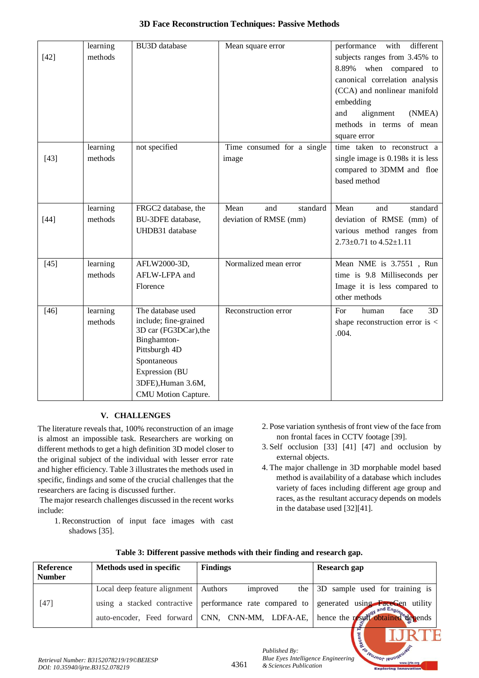|        |          |                       |                            | different                           |
|--------|----------|-----------------------|----------------------------|-------------------------------------|
|        | learning | <b>BU3D</b> database  | Mean square error          | performance<br>with                 |
| $[42]$ | methods  |                       |                            | subjects ranges from 3.45% to       |
|        |          |                       |                            | when compared to<br>8.89%           |
|        |          |                       |                            | canonical correlation analysis      |
|        |          |                       |                            | (CCA) and nonlinear manifold        |
|        |          |                       |                            | embedding                           |
|        |          |                       |                            | alignment<br>and<br>(NMEA)          |
|        |          |                       |                            | methods in terms of mean            |
|        |          |                       |                            | square error                        |
|        | learning | not specified         | Time consumed for a single | time taken to reconstruct a         |
| $[43]$ | methods  |                       | image                      | single image is 0.198s it is less   |
|        |          |                       |                            | compared to 3DMM and floe           |
|        |          |                       |                            | based method                        |
|        |          |                       |                            |                                     |
|        | learning | FRGC2 database, the   | Mean<br>standard<br>and    | Mean<br>standard<br>and             |
| $[44]$ | methods  | BU-3DFE database,     | deviation of RMSE (mm)     | deviation of RMSE (mm) of           |
|        |          | UHDB31 database       |                            | various method ranges from          |
|        |          |                       |                            | $2.73 \pm 0.71$ to $4.52 \pm 1.11$  |
|        |          |                       |                            |                                     |
| $[45]$ | learning | AFLW2000-3D,          | Normalized mean error      | Mean NME is 3.7551, Run             |
|        | methods  | AFLW-LFPA and         |                            | time is 9.8 Milliseconds per        |
|        |          | Florence              |                            | Image it is less compared to        |
|        |          |                       |                            | other methods                       |
| $[46]$ | learning | The database used     | Reconstruction error       | face<br>3D<br>human<br>For          |
|        | methods  | include; fine-grained |                            | shape reconstruction error is $\lt$ |
|        |          | 3D car (FG3DCar), the |                            | .004.                               |
|        |          | Binghamton-           |                            |                                     |
|        |          | Pittsburgh 4D         |                            |                                     |
|        |          | Spontaneous           |                            |                                     |
|        |          | Expression (BU        |                            |                                     |
|        |          | 3DFE), Human 3.6M,    |                            |                                     |
|        |          | CMU Motion Capture.   |                            |                                     |

# **V. CHALLENGES**

The literature reveals that, 100% reconstruction of an image is almost an impossible task. Researchers are working on different methods to get a high definition 3D model closer to the original subject of the individual with lesser error rate and higher efficiency. Table 3 illustrates the methods used in specific, findings and some of the crucial challenges that the researchers are facing is discussed further.

The major research challenges discussed in the recent works include:

1. Reconstruction of input face images with cast shadows [35].

- 2. Pose variation synthesis of front view of the face from non frontal faces in CCTV footage [39].
- 3. Self occlusion [33] [41] [47] and occlusion by external objects.
- 4. The major challenge in 3D morphable model based method is availability of a database which includes variety of faces including different age group and races, as the resultant accuracy depends on models in the database used [32][41].

KIE

**Leunor lenoir** 

| <b>Reference</b><br><b>Number</b> | Methods used in specific               | <b>Findings</b>                                                                                              | Research gap                                                                |
|-----------------------------------|----------------------------------------|--------------------------------------------------------------------------------------------------------------|-----------------------------------------------------------------------------|
|                                   | Local deep feature alignment   Authors | improved<br>the 1                                                                                            | 3D sample used for training is                                              |
| $[47]$                            |                                        | using a stacked contractive performance rate compared to<br>auto-encoder, Feed forward CNN, CNN-MM, LDFA-AE, | generated using <b>FaceGen</b> utility<br>hence the result obtained depends |

4361

# **Table 3: Different passive methods with their finding and research gap.**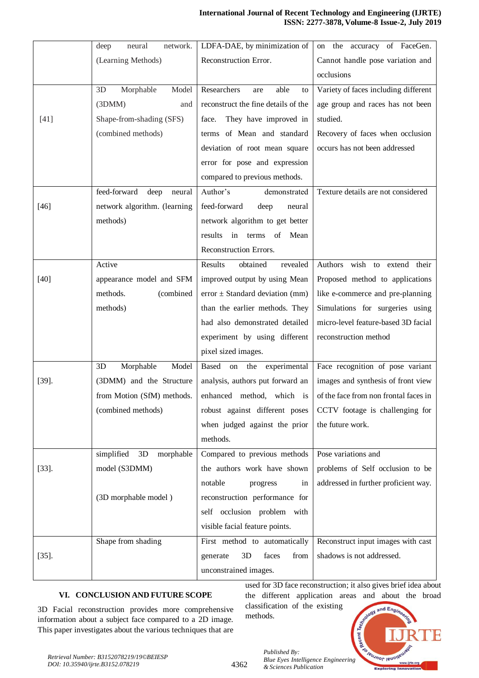|          | network.<br>deep<br>neural     | LDFA-DAE, by minimization of         | on the accuracy of FaceGen.           |
|----------|--------------------------------|--------------------------------------|---------------------------------------|
|          | (Learning Methods)             | Reconstruction Error.                | Cannot handle pose variation and      |
|          |                                |                                      | occlusions                            |
|          | Model<br>3D<br>Morphable       | Researchers<br>able<br>are<br>to     | Variety of faces including different  |
|          | (3 <sub>DMM</sub> )<br>and     | reconstruct the fine details of the  | age group and races has not been      |
| $[41]$   | Shape-from-shading (SFS)       | They have improved in<br>face.       | studied.                              |
|          | (combined methods)             | terms of Mean and standard           | Recovery of faces when occlusion      |
|          |                                | deviation of root mean square        | occurs has not been addressed         |
|          |                                | error for pose and expression        |                                       |
|          |                                | compared to previous methods.        |                                       |
|          | feed-forward<br>deep<br>neural | Author's<br>demonstrated             | Texture details are not considered    |
| $[46]$   | network algorithm. (learning   | feed-forward<br>deep<br>neural       |                                       |
|          | methods)                       | network algorithm to get better      |                                       |
|          |                                | results<br>Mean<br>in<br>terms<br>of |                                       |
|          |                                | Reconstruction Errors.               |                                       |
|          | Active                         | obtained<br>revealed<br>Results      | wish to extend their<br>Authors       |
| $[40]$   | appearance model and SFM       | improved output by using Mean        | Proposed method to applications       |
|          | (combined<br>methods.          | $error \pm Standard deviation (mm)$  | like e-commerce and pre-planning      |
|          | methods)                       | than the earlier methods. They       | Simulations for surgeries using       |
|          |                                | had also demonstrated detailed       | micro-level feature-based 3D facial   |
|          |                                | experiment by using different        | reconstruction method                 |
|          |                                | pixel sized images.                  |                                       |
|          | Morphable<br>Model<br>3D       | Based<br>on the experimental         | Face recognition of pose variant      |
| $[39]$ . | (3DMM) and the Structure       | analysis, authors put forward an     | images and synthesis of front view    |
|          | from Motion (SfM) methods.     | enhanced method, which is            | of the face from non frontal faces in |
|          | (combined methods)             | robust against different poses       | CCTV footage is challenging for       |
|          |                                | when judged against the prior        | the future work.                      |
|          |                                | methods.                             |                                       |
|          | simplified<br>morphable<br>3D  | Compared to previous methods         | Pose variations and                   |
| $[33]$ . | model (S3DMM)                  | the authors work have shown          | problems of Self occlusion to be      |
|          |                                | notable<br>progress<br>in            | addressed in further proficient way.  |
|          | (3D morphable model)           | reconstruction performance for       |                                       |
|          |                                | self occlusion problem with          |                                       |
|          |                                | visible facial feature points.       |                                       |
|          | Shape from shading             | First method to automatically        | Reconstruct input images with cast    |
| $[35]$ . |                                | faces<br>from<br>generate<br>3D      | shadows is not addressed.             |
|          |                                | unconstrained images.                |                                       |
|          |                                |                                      |                                       |

# **VI. CONCLUSION AND FUTURE SCOPE**

3D Facial reconstruction provides more comprehensive information about a subject face compared to a 2D image. This paper investigates about the various techniques that are

used for 3D face reconstruction; it also gives brief idea about the different application areas and about the broad classification of the existing and Engi

*Published By:* Published By:<br>*Blue Eyes Intelligence Engineering & Sciences Publication* 

4362

methods.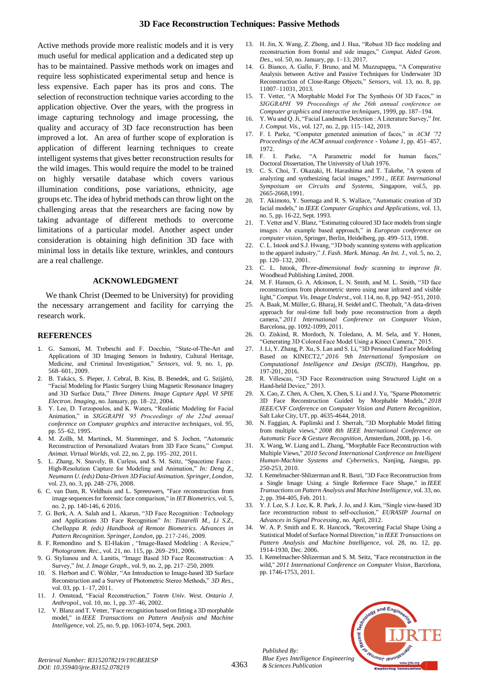Active methods provide more realistic models and it is very much useful for medical application and a dedicated step up has to be maintained. Passive methods work on images and require less sophisticated experimental setup and hence is less expensive. Each paper has its pros and cons. The selection of reconstruction technique varies according to the application objective. Over the years, with the progress in image capturing technology and image processing, the quality and accuracy of 3D face reconstruction has been improved a lot. An area of further scope of exploration is application of different learning techniques to create intelligent systems that gives better reconstruction results for the wild images. This would require the model to be trained on highly versatile database which covers various illumination conditions, pose variations, ethnicity, age groups etc. The idea of hybrid methods can throw light on the challenging areas that the researchers are facing now by taking advantage of different methods to overcome limitations of a particular model. Another aspect under consideration is obtaining high definition 3D face with minimal loss in details like texture, wrinkles, and contours are a real challenge.

#### **ACKNOWLEDGMENT**

We thank Christ (Deemed to be University) for providing the necessary arrangement and facility for carrying the research work.

#### **REFERENCES**

- 1. G. Sansoni, M. Trebeschi and F. Docchio, "State-of-The-Art and Applications of 3D Imaging Sensors in Industry, Cultural Heritage, Medicine, and Criminal Investigation," *Sensors*, vol. 9, no. 1, pp. 568–601, 2009.
- 2. B. Takács, S. Pieper, J. Cebral, B. Kiss, B. Benedek, and G. Szijártó, "Facial Modeling for Plastic Surgery Using Magnetic Resonance Imagery and 3D Surface Data," *Three Dimens. Image Capture Appl. VI SPIE Electron. Imaging*, no. January, pp. 18–22, 2004.
- 3. Y. Lee, D. Terzopoulos, and K. Waters, "Realistic Modeling for Facial Animation," in *SIGGRAPH '95 Proceedings of the 22nd annual conference on Computer graphics and interactive techniques*, vol. 95, pp. 55–62, 1995.
- M. Zollh, M. Martinek, M. Stamminger, and S. Jochen, "Automatic Reconstruction of Personalized Avatars from 3D Face Scans," *Comput. Animat. Virtual Worlds*, vol. 22, no. 2, pp. 195–202, 2011.
- 5. L. Zhang, N. Snavely, B. Curless, and S. M. Seitz, "Spacetime Faces : High-Resolution Capture for Modeling and Animation," *In: Deng Z., Neumann U. (eds) Data-Driven 3D Facial Animation. Springer, London*, vol. 23, no. 3, pp. 248–276, 2008.
- 6. C. van Dam, R. Veldhuis and L. Spreeuwers, "Face reconstruction from image sequences for forensic face comparison," in *IET Biometrics*, vol. 5, no. 2, pp. 140-146, 6 2016.
- 7. G. Berk, A. A. Salah and L. Akarun, "3D Face Recognition : Technology and Applications 3D Face Recognition" *In: Tistarelli M., Li S.Z., Chellappa R. (eds) Handbook of Remote Biometrics. Advances in Pattern Recognition. Springer, London,* pp. 217-246, 2009.
- 8. F. Remondino and S. El-Hakim , "Image-Based Modeling : A Review," *Photogramm. Rec.*, vol. 21, no. 115, pp. 269–291, 2006.
- 9. G. Stylianou and A. Lanitis, "Image Based 3D Face Reconstruction : A Survey," *Int. J. Image Graph.*, vol. 9, no. 2, pp. 217–250, 2009.
- S. Herbort and C. Wöhler, "An Introduction to Image-based 3D Surface Reconstruction and a Survey of Photometric Stereo Methods," *3D Res.*, vol. 03, pp. 1–17, 2011.
- 11. J. Omstead, "Facial Reconstruction," *Totem Univ. West. Ontario J. Anthropol.*, vol. 10, no. 1, pp. 37–46, 2002.
- 12. V. Blanz and T. Vetter, "Face recognition based on fitting a 3D morphable model," in *IEEE Transactions on Pattern Analysis and Machine Intelligence*, vol. 25, no. 9, pp. 1063-1074, Sept. 2003.
- 13. H. Jin, X. Wang, Z. Zhong, and J. Hua, "Robust 3D face modeling and reconstruction from frontal and side images," *Comput. Aided Geom. Des.*, vol. 50, no. January, pp. 1–13, 2017.
- 14. G. Bianco, A. Gallo, F. Bruno, and M. Muzzupappa, "A Comparative Analysis between Active and Passive Techniques for Underwater 3D Reconstruction of Close-Range Objects," *Sensors*, vol. 13, no. 8, pp. 11007–11031, 2013.
- 15. T. Vetter, "A Morphable Model For The Synthesis Of 3D Faces," in *SIGGRAPH '99 Proceedings of the 26th annual conference on Computer graphics and interactive techniques*, 1999, pp. 187–194.
- 16. Y. Wu and Q. Ji, "Facial Landmark Detection : A Literature Survey," *Int. J. Comput. Vis.*, vol. 127, no. 2, pp. 115–142, 2019.
- 17. F. I. Parke, "Computer generated animation of faces," in *ACM '72 Proceedings of the ACM annual conference - Volume 1*, pp. 451–457, 1972.<br>18. F. I.
- Parke, "A Parametric model for human faces," Doctoral Dissertation, The University of Utah 1976.
- 19. C. S. Choi, T. Okazaki, H. Harashima and T. Takebe, "A system of analyzing and synthesizing facial images," *1991., IEEE International Sympoisum on Circuits and Systems*, Singapore, vol.5, pp. 2665-2668,1991.
- 20. T. Akimoto, Y. Suenaga and R. S. Wallace, "Automatic creation of 3D facial models," in *IEEE Computer Graphics and Applications*, vol. 13, no. 5, pp. 16-22, Sept. 1993.
- 21. T. Vetter and V. Blanz, "Estimating coloured 3D face models from single images : An example based approach," in *European conference on computer vision*, Springer, Berlin, Heidelberg, pp. 499–513, 1998.
- 22. C. L. Istook and S.J. Hwang, "3D body scanning systems with application to the apparel industry," *J. Fash. Mark. Manag. An Int. J.*, vol. 5, no. 2, pp. 120–132, 2001.
- 23. C. L. Istook, *Three-dimensional body scanning to improve fit*. Woodhead Publishing Limited, 2008.
- 24. M. F. Hansen, G. A. Atkinson, L. N. Smith, and M. L. Smith, "3D face reconstructions from photometric stereo using near infrared and visible light," *Comput. Vis. Image Underst.*, vol. 114, no. 8, pp. 942–951, 2010.
- 25. A. Baak, M. Müller, G. Bharaj, H. Seidel and C. Theobalt, "A data-driven approach for real-time full body pose reconstruction from a depth camera," *2011 International Conference on Computer Vision*, Barcelona, pp. 1092-1099, 2011.
- 26. O. Ziskind, R. Mordoch, N. Toledano, A. M. Sela, and Y. Honen, "Generating 3D Colored Face Model Using a Kinect Camera," 2015.
- 27. J. Li, Y. Zhang, P. Xu, S. Lan and S. Li, "3D Personalized Face Modeling Based on KINECT2," *2016 9th International Symposium on Computational Intelligence and Design (ISCID)*, Hangzhou, pp. 197-201, 2016.
- 28. R. Villescas, "3D Face Reconstruction using Structured Light on a Hand-held Device," 2013.
- 29. X. Cao, Z. Chen, A. Chen, X. Chen, S. Li and J. Yu, "Sparse Photometric 3D Face Reconstruction Guided by Morphable Models," *2018 IEEE/CVF Conference on Computer Vision and Pattern Recognition*, Salt Lake City, UT, pp. 4635-4644, 2018.
- 30. N. Faggian, A. Paplinski and J. Sherrah, "3D Morphable Model fitting from multiple views," *2008 8th IEEE International Conference on Automatic Face & Gesture Recognition*, Amsterdam, 2008, pp. 1-6.
- 31. X. Wang, W. Liang and L. Zhang, "Morphable Face Reconstruction with Multiple Views," *2010 Second International Conference on Intelligent Human-Machine Systems and Cybernetics*, Nanjing, Jiangsu, pp. 250-253, 2010.
- 32. I. Kemelmacher-Shlizerman and R. Basri, "3D Face Reconstruction from a Single Image Using a Single Reference Face Shape," in *IEEE Transactions on Pattern Analysis and Machine Intelligence*, vol. 33, no. 2, pp. 394-405, Feb. 2011.
- 33. Y. J. Lee, S. J. Lee, K. R. Park, J. Jo, and J. Kim, "Single view-based 3D face reconstruction robust to self-occlusion," *EURASIP Journal on Advances in Signal Processing*, no. April, 2012.
- 34. W. A. P. Smith and E. R. Hancock, "Recovering Facial Shape Using a Statistical Model of Surface Normal Direction," in *IEEE Transactions on Pattern Analysis and Machine Intelligence*, vol. 28, no. 12, pp. 1914-1930, Dec. 2006.
- 35. I. Kemelmacher-Shlizerman and S. M. Seitz, "Face reconstruction in the wild," *2011 International Conference on Computer Vision*, Barcelona, pp. 1746-1753, 2011.



*Published By:*